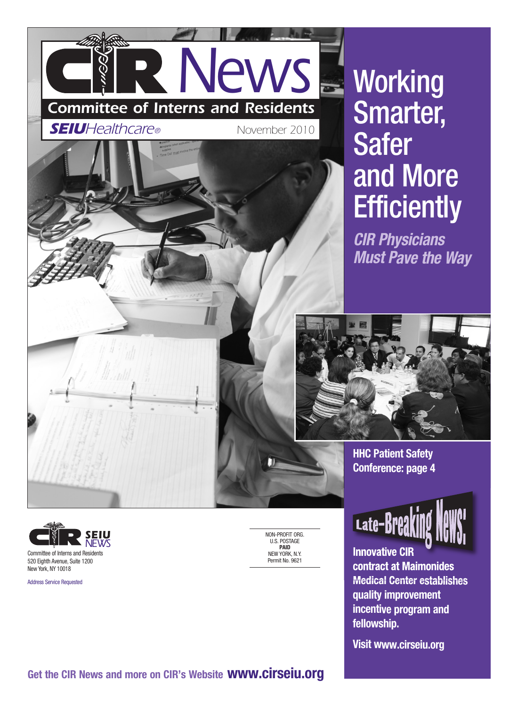# *News Committee of Interns and Residents*

*SEIUHealthcare®*

*November 2010*

NON-PROFIT ORG. U.S. POSTAGE **PAID** NEW YORK, N.Y. Permit No. 9621



## **Working** Smarter, Safer and More **Efficiently**

*CIR Physicians Must Pave the Way*

![](_page_0_Picture_6.jpeg)

**HHC Patient Safety Conference: page 4**

![](_page_0_Picture_8.jpeg)

**Innovative CIR contract at Maimonides Medical Center establishes quality improvement incentive program and fellowship.** 

**Visit www.cirseiu.org** 

![](_page_0_Picture_11.jpeg)

Address Service Requested

**Get the CIR News and more on CIR's Website www.cirseiu.org**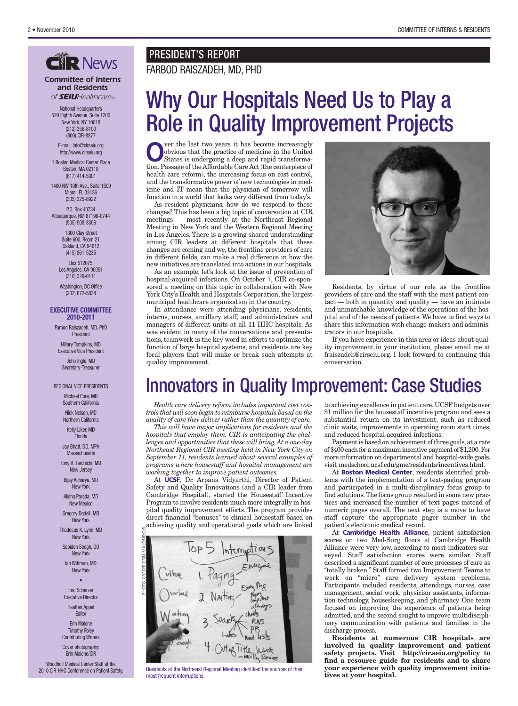#### *Committee of Interns and Residents of SEIUHealthcare®*

National Headquarters 520 Eighth Avenue, Suite 1200 New York, NY 10018 (212) 356-8100 (800) CIR-8877

E-mail: info@cirseiu.org http://www.cirseiu.org

1 Boston Medical Center Place Boston, MA 02118 (617) 414-5301

1400 NW 10th Ave., Suite 1509 Miami, FL 33136 (305) 325-8922

P.O. Box 40734 Albuquerque, NM 87196-0744 (505) 508-3306

> 1300 Clay Street Suite 600, Room 21 Oakland, CA 94612 (415) 861-5235

Box 512075 Los Angeles, CA 90051 (310) 329-0111

Washington, DC Office (202) 872-5838

#### **EXECUTIVE COMMITTEE 2010-2011**

Farbod Raiszadeh, MD, PhD President

Hillary Tompkins, MD Executive Vice President

John Ingle, MD Secretary-Treasurer

#### REGIONAL VICE PRESIDENTS

Michael Core, MD Southern California

> Nick Nelson, MD Northern California

> > Kelly Liker, MD Florida

Jay Bhatt, DO, MPH **Massachusetts** 

Tony R. Tarchichi, MD New Jersey

Bijay Acharya, MD New York

Alisha Parada, MD New Mexico

Gregory Dodell, MD New York

Thaddeus K. Lynn, MD New York

Sepideh Sedgh, DO New York

Ian Wittman, MD New York

•

Eric Scherzer Executive Director

Heather Appel **Editor** 

Erin Malone Timothy Foley Contributing Writers

Cover photography: Erin Malone/CIR

Woodhull Medical Center Staff at the 2010 CIR-HHC Conference on Patient Safety.

### **PRESIDENT'S REPORT<br>FARBOD RAISZADEH, MD, PHD**

### Why Our Hospitals Need Us to Play a Role in Quality Improvement Projects

**O**ver the last two years it has become increasingly<br>
obvious that the practice of medicine in the United<br>
States is undergoing a deep and rapid transforma-<br>
tion Passage of the Affordable Care Act (the contemions of obvious that the practice of medicine in the United tion. Passage of the Affordable Care Act (the centerpiece of health care reform), the increasing focus on cost control, and the transformative power of new technologies in medicine and IT mean that the physician of tomorrow will function in a world that looks very different from today's.

As resident physicians, how do we respond to these changes? This has been a big topic of conversation at CIR meetings — most recently at the Northeast Regional Meeting in New York and the Western Regional Meeting in Los Angeles. There is a growing shared understanding among CIR leaders at different hospitals that these changes are coming and we, the frontline providers of care in different fields, can make a real difference in how the new initiatives are translated into actions in our hospitals.

As an example, let's look at the issue of prevention of hospital-acquired infections. On October 7, CIR co-sponsored a meeting on this topic in collaboration with New York City's Health and Hospitals Corporation, the largest municipal healthcare organization in the country.

In attendance were attending physicians, residents, interns, nurses, ancillary staff, and administrators and managers of different units at all 11 HHC hospitals. As was evident in many of the conversations and presentations, teamwork is the key word in efforts to optimize the function of large hospital systems, and residents are key focal players that will make or break such attempts at quality improvement.

![](_page_1_Picture_40.jpeg)

Residents, by virtue of our role as the frontline providers of care and the staff with the most patient contact — both in quantity and quality — have an intimate and unmatchable knowledge of the operations of the hospital and of the needs of patients. We have to find ways to share this information with change-makers and administrators in our hospitals.

If you have experience in this area or ideas about quality improvement in your institution, please email me at fraiszadeh@cirseiu.org. I look forward to continuing this conversation.

### Innovators in Quality Improvement: Case Studies

*Health care delivery reform includes important cost controls that will soon begin to reimburse hospitals based on the quality of care they deliver rather than the quantity of care. This will have major implications for residents and the*

*hospitals that employ them. CIR is anticipating the challenges and opportunities that these will bring. At a one-day Northeast Regional CIR meeting held in New York City on September 11, residents learned about several examples of programs where housestaff and hospital management are working together to improve patient outcomes.*

At **UCSF**, Dr. Arpana Vidyarthi, Director of Patient Safety and Quality Innovations (and a CIR leader from Cambridge Hospital), started the Housestaff Incentive Program to involve residents much more integrally in hospital quality improvement efforts. The program provides direct financial "bonuses" to clinical housestaff based on  $\approx$  achieving quality and operational goals which are linked

![](_page_1_Picture_47.jpeg)

Residents at the Northeast Regional Meeting identified the sources of their most frequent interruptions.

to achieving excellence in patient care. UCSF budgets over \$1 million for the housestaff incentive program and sees a substantial return on its investment, such as reduced clinic waits, improvements in operating room start times, and reduced hospital-acquired infections.

Payment is based on achievement of three goals, at a rate of \$400 each for a maximum incentive payment of \$1,200. For more information on departmental and hospital-wide goals, visit medschool.ucsf.edu/gme/residents/incentives.html.

At **Boston Medical Center**, residents identified problems with the implementation of a text-paging program and participated in a multi-disciplinary focus group to find solutions. The focus group resulted in some new practices and increased the number of text pages instead of numeric pages overall. The next step is a move to have staff capture the appropriate pager number in the patient's electronic medical record.

At **Cambridge Health Alliance**, patient satisfaction scores on two Med-Surg floors at Cambridge Health Alliance were very low, according to most indicators surveyed. Staff satisfaction scores were similar. Staff described a significant number of core processes of care as "totally broken." Staff formed two Improvement Teams to work on "micro" care delivery system problems. Participants included residents, attendings, nurses, case management, social work, physician assistants, information technology, houseskeeping, and pharmacy. One team focused on improving the experience of patients being admitted, and the second sought to improve multidisciplinary communication with patients and families in the discharge process.

**Residents at numerous CIR hospitals are involved in quality improvement and patient safety projects. Visit http://cir.seiu.org/policy to find a resource guide for residents and to share your experience with quality improvement initiatives at your hospital.**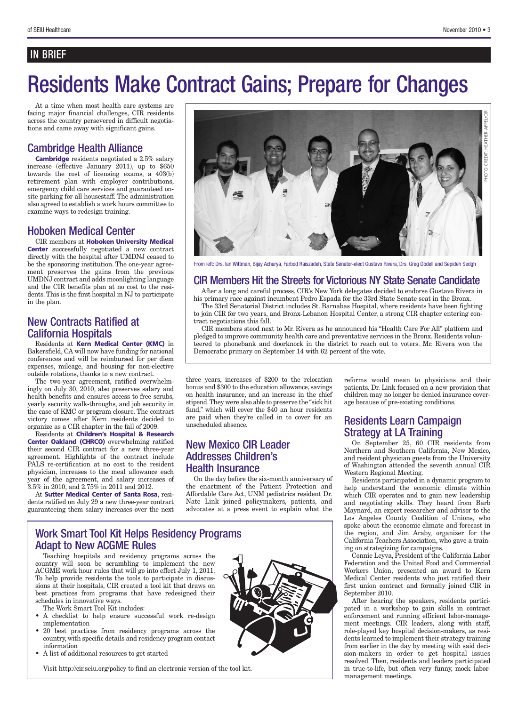#### IN BRIEF

### Residents Make Contract Gains; Prepare for Changes

At a time when most health care systems are facing major financial challenges, CIR residents across the country persevered in difficult negotiations and came away with significant gains.

#### Cambridge Health Alliance

**Cambridge** residents negotiated a 2.5% salary increase (effective January 2011), up to \$650 towards the cost of licensing exams, a 403(b) retirement plan with employer contributions, emergency child care services and guaranteed onsite parking for all housestaff. The administration also agreed to establish a work hours committee to examine ways to redesign training.

#### Hoboken Medical Center

CIR members at **Hoboken University Medical Center** successfully negotiated a new contract directly with the hospital after UMDNJ ceased to be the sponsoring institution. The one-year agreement preserves the gains from the previous UMDNJ contract and adds moonlighting language and the CIR benefits plan at no cost to the residents. This is the first hospital in NJ to participate in the plan.

#### New Contracts Ratified at California Hospitals

Residents at **Kern Medical Center (KMC)** in Bakersfield, CA will now have funding for national conferences and will be reimbursed for per diem expenses, mileage, and housing for non-elective outside rotations, thanks to a new contract.

The two-year agreement, ratified overwhelmingly on July 30, 2010, also preserves salary and health benefits and ensures access to free scrubs, yearly security walk-throughs, and job security in the case of KMC or program closure. The contract victory comes after Kern residents decided to organize as a CIR chapter in the fall of 2009.

Residents at **Children's Hospital & Research Center Oakland (CHRCO)** overwhelming ratified their second CIR contract for a new three-year agreement. Highlights of the contract include PALS re-certification at no cost to the resident physician, increases to the meal allowance each year of the agreement, and salary increases of 3.5% in 2010, and 2.75% in 2011 and 2012.

At **Sutter Medical Center of Santa Rosa**, residents ratified on July 29 a new three-year contract guaranteeing them salary increases over the next

Adapt to New ACGME Rules

The Work Smart Tool Kit includes:

• A list of additional resources to get started

schedules in innovative ways.

implementation

information

![](_page_2_Picture_14.jpeg)

From left: Drs. Ian Wittman, Bijay Acharya, Farbod Raiszadeh, State Senator-elect Gustavo Rivera, Drs. Greg Dodell and Sepideh Sedgh

#### CIR Members Hit the Streets for Victorious NY State Senate Candidate

After a long and careful process, CIR's New York delegates decided to endorse Gustavo Rivera in his primary race against incumbent Pedro Espada for the 33rd State Senate seat in the Bronx.

The 33rd Senatorial District includes St. Barnabas Hospital, where residents have been fighting to join CIR for two years, and Bronx-Lebanon Hospital Center, a strong CIR chapter entering contract negotiations this fall.

CIR members stood next to Mr. Rivera as he announced his "Health Care For All" platform and pledged to improve community health care and preventative services in the Bronx. Residents volunteered to phonebank and doorknock in the district to reach out to voters. Mr. Rivera won the Democratic primary on September 14 with 62 percent of the vote.

three years, increases of \$200 to the relocation bonus and \$300 to the education allowance, savings on health insurance, and an increase in the chief stipend. They were also able to preserve the "sick hit fund," which will cover the \$40 an hour residents are paid when they're called in to cover for an unscheduled absence.

#### New Mexico CIR Leader Addresses Children's Health Insurance

On the day before the six-month anniversary of the enactment of the Patient Protection and Affordable Care Act, UNM pediatrics resident Dr. Nate Link joined policymakers, patients, and advocates at a press event to explain what the reforms would mean to physicians and their patients. Dr. Link focused on a new provision that children may no longer be denied insurance coverage because of pre-existing conditions.

#### Residents Learn Campaign Strategy at LA Training

On September 25, 60 CIR residents from Northern and Southern California, New Mexico, and resident physician guests from the University of Washington attended the seventh annual CIR Western Regional Meeting.

Residents participated in a dynamic program to help understand the economic climate within which CIR operates and to gain new leadership and negotiating skills. They heard from Barb Maynard, an expert researcher and advisor to the Los Angeles County Coalition of Unions, who spoke about the economic climate and forecast in the region, and Jim Araby, organizer for the California Teachers Association, who gave a training on strategizing for campaigns.

Connie Leyva, President of the California Labor Federation and the United Food and Commercial Workers Union, presented an award to Kern Medical Center residents who just ratified their first union contract and formally joined CIR in September 2010.

After hearing the speakers, residents participated in a workshop to gain skills in contract enforcement and running efficient labor-management meetings. CIR leaders, along with staff, role-played key hospital decision-makers, as residents learned to implement their strategy training from earlier in the day by meeting with said decision-makers in order to get hospital issues resolved. Then, residents and leaders participated in true-to-life, but often very funny, mock labormanagement meetings.

![](_page_2_Picture_29.jpeg)

Visit http://cir.seiu.org/policy to find an electronic version of the tool kit.

Teaching hospitals and residency programs across the country will soon be scrambling to implement the new ACGME work hour rules that will go into effect July 1, 2011. To help provide residents the tools to participate in discussions at their hospitals, CIR created a tool kit that draws on best practices from programs that have redesigned their

• A checklist to help ensure successful work re-design

• 20 best practices from residency programs across the country, with specific details and residency program contact